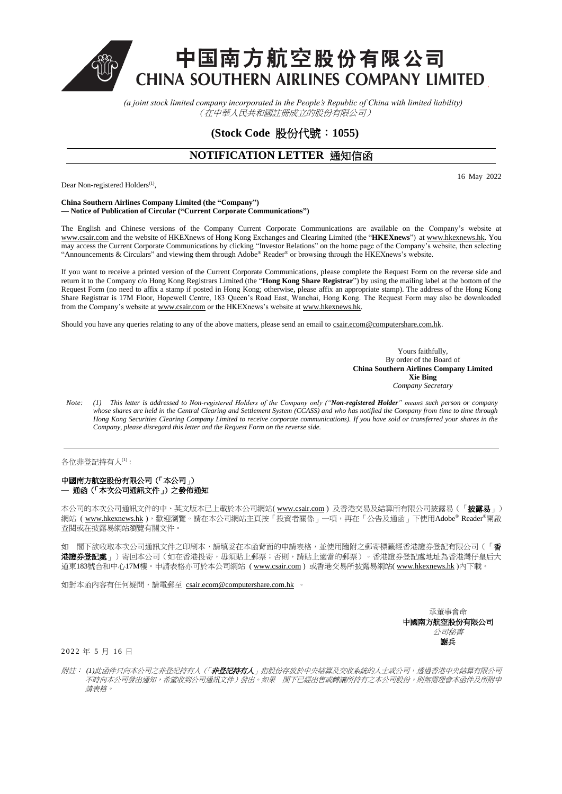中国南方航空股份有限公司 **CHINA SOUTHERN AIRLINES COMPANY LIMITED** 

> *(a joint stock limited company incorporated in the People's Republic of China with limited liability)*  (在中華人民共和國註冊成立的股份有限公司)

> > **(Stock Code** 股份代號:**1055)**

## **NOTIFICATION LETTER 通知信函**

Dear Non-registered Holders<sup>(1)</sup>,

16 May 2022

## **China Southern Airlines Company Limited (the "Company") — Notice of Publication of Circular ("Current Corporate Communications")**

The English and Chinese versions of the Company Current Corporate Communications are available on the Company's website at [www.csair.com](http://www.csair.com/) and the website of HKEXnews of Hong Kong Exchanges and Clearing Limited (the "**HKEXnews**") a[t www.hkexnews.hk.](http://www.hkexnews.hk/) You may access the Current Corporate Communications by clicking "Investor Relations" on the home page of the Company's website, then selecting "Announcements & Circulars" and viewing them through Adobe® Reader® or browsing through the HKEXnews's website.

If you want to receive a printed version of the Current Corporate Communications, please complete the Request Form on the reverse side and return it to the Company c/o Hong Kong Registrars Limited (the "**Hong Kong Share Registrar**") by using the mailing label at the bottom of the Request Form (no need to affix a stamp if posted in Hong Kong; otherwise, please affix an appropriate stamp). The address of the Hong Kong Share Registrar is 17M Floor, Hopewell Centre, 183 Queen's Road East, Wanchai, Hong Kong. The Request Form may also be downloaded from the Company's website a[t www.csair.com](http://www.csair.com/) or the HKEXnews's website a[t www.hkexnews.hk.](http://www.hkexnews.hk/)

Should you have any queries relating to any of the above matters, please send an email to csair.ecom@computershare.com.hk.

Yours faithfully, By order of the Board of **China Southern Airlines Company Limited Xie Bing** *Company Secretary*

*Note: (1) This letter is addressed to Non-registered Holders of the Company only ("Non-registered Holder" means such person or company* whose shares are held in the Central Clearing and Settlement System (CCASS) and who has notified the Company from time to time through *Hong Kong Securities Clearing Company Limited to receive corporate communications). If you have sold or transferred your shares in the Company, please disregard this letter and the Request Form on the reverse side.*

各位非登記持有人(1) :

## 中國南方航空股份有限公司(「本公司」) **—** 通函(「本次公司通訊文件」)之發佈通知

本公司的本次公司通訊文件的中、英文版本已上載於本公司網站[\( www.csair.com](http://www.csair.com/) ) 及香港交易及結算所有限公司披露易 ( 「披露易 」) 網站 ( [www.hkexnews.hk](http://www.hkexnews.hk/) ), 歡迎瀏覽。請在本公司網站主頁按「投資者關係」一項, 再在「公告及通函」下使用Adobe® Reader®開啟 查閱或在披露易網站瀏覽有關文件。

如 閣下欲收取本次公司通訊文件之印刷本,請填妥在本函背面的申請表格,並使用隨附之郵寄標籤經香港證券登記有限公司(「香 **港證券登記處**」)寄回本公司(如在香港投寄,毋須貼上郵票;否則,請貼上適當的郵票)。香港證券登記處地址為香港灣仔皇后大 道東183號合和中心17M樓。申請表格亦可於本公司網站 [\( www.csair.com](http://www.csair.com/)) 或香港交易所披露易網站[\( www.hkexnews.hk](http://www.hkexnews.hk/) )內下載。

如對本函內容有任何疑問,請電郵至 [csair.ecom@computershare.com.hk](mailto:csair.ecom@computershare.com.hk) 。

承董事會命 中國南方航空股份有限公司 公司秘書 謝兵

2022 年 5 月 16 日

附註: *(1)*此函件只向本公司之非登記持有人(「非登記持有人」指股份存放於中央結算及交收系統的人士或公司,透過香港中央結算有限公司 不時向本公司發出通知,希望收到公司通訊文件)發出。如果 閣下已經出售或轉讓所持有之本公司股份,則無需理會本函件及所附申 請表格。